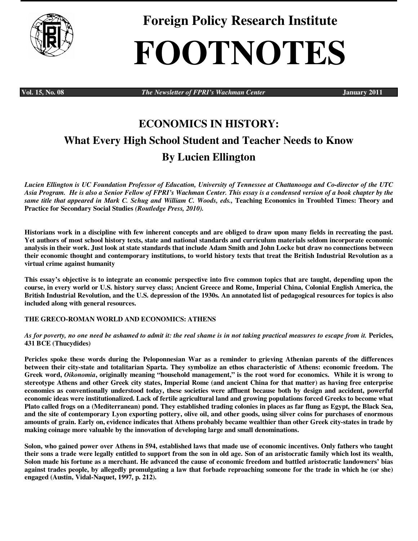

**Foreign Policy Research Institute** 

# **FOOTNOTES**

**Vol. 15, No. 08** *The Newsletter of FPRI's Wachman Center* **January 2011** 

# **ECONOMICS IN HISTORY: What Every High School Student and Teacher Needs to Know By Lucien Ellington**

*Lucien Ellington is UC Foundation Professor of Education, University of Tennessee at Chattanooga and Co-director of the UTC Asia Program. He is also a Senior Fellow of FPRI's Wachman Center. This essay is a condensed version of a book chapter by the same title that appeared in Mark C. Schug and William C. Woods, eds.,* **Teaching Economics in Troubled Times: Theory and Practice for Secondary Social Studies** *(Routledge Press, 2010).* 

**Historians work in a discipline with few inherent concepts and are obliged to draw upon many fields in recreating the past. Yet authors of most school history texts, state and national standards and curriculum materials seldom incorporate economic analysis in their work. Just look at state standards that include Adam Smith and John Locke but draw no connections between their economic thought and contemporary institutions, to world history texts that treat the British Industrial Revolution as a virtual crime against humanity** 

**This essay's objective is to integrate an economic perspective into five common topics that are taught, depending upon the course, in every world or U.S. history survey class; Ancient Greece and Rome, Imperial China, Colonial English America, the British Industrial Revolution, and the U.S. depression of the 1930s. An annotated list of pedagogical resources for topics is also included along with general resources.** 

# **THE GRECO-ROMAN WORLD AND ECONOMICS: ATHENS**

*As for poverty, no one need be ashamed to admit it: the real shame is in not taking practical measures to escape from it.* **Pericles, 431 BCE (Thucydides)** 

**Pericles spoke these words during the Peloponnesian War as a reminder to grieving Athenian parents of the differences between their city-state and totalitarian Sparta. They symbolize an ethos characteristic of Athens: economic freedom. The Greek word,** *Oikonomia***, originally meaning "household management," is the root word for economics. While it is wrong to stereotype Athens and other Greek city states, Imperial Rome (and ancient China for that matter) as having free enterprise economies as conventionally understood today, these societies were affluent because both by design and accident, powerful economic ideas were institutionalized. Lack of fertile agricultural land and growing populations forced Greeks to become what Plato called frogs on a (Mediterranean) pond. They established trading colonies in places as far flung as Egypt, the Black Sea, and the site of contemporary Lyon exporting pottery, olive oil, and other goods, using silver coins for purchases of enormous amounts of grain. Early on, evidence indicates that Athens probably became wealthier than other Greek city-states in trade by making coinage more valuable by the innovation of developing large and small denominations.** 

**Solon, who gained power over Athens in 594, established laws that made use of economic incentives. Only fathers who taught their sons a trade were legally entitled to support from the son in old age. Son of an aristocratic family which lost its wealth, Solon made his fortune as a merchant. He advanced the cause of economic freedom and battled aristocratic landowners' bias against trades people, by allegedly promulgating a law that forbade reproaching someone for the trade in which he (or she) engaged (Austin, Vidal-Naquet, 1997, p. 212).**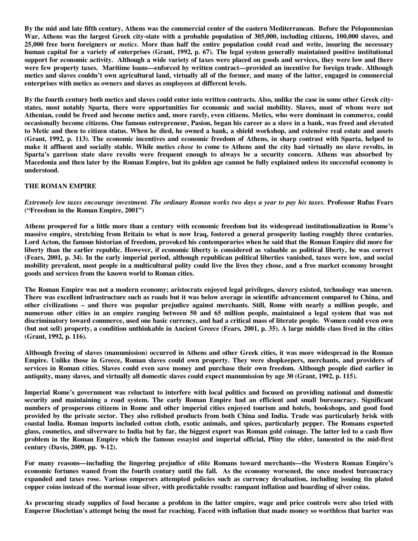**By the mid and late fifth century, Athens was the commercial center of the eastern Mediterranean. Before the Peloponnesian War, Athens was the largest Greek city-state with a probable population of 305,000, including citizens, 100,000 slaves, and 25,000 free born foreigners or** *metics***. More than half the entire population could read and write, insuring the necessary human capital for a variety of enterprises (Grant, 1992, p. 67). The legal system generally maintained positive institutional support for economic activity. Although a wide variety of taxes were placed on goods and services, they were low and there were few property taxes. Maritime loans—enforced by written contract—provided an incentive for foreign trade. Although metics and slaves couldn't own agricultural land, virtually all of the former, and many of the latter, engaged in commercial enterprises with metics as owners and slaves as employees at different levels.** 

**By the fourth century both metics and slaves could enter into written contracts. Also, unlike the case in some other Greek citystates, most notably Sparta, there were opportunities for economic and social mobility. Slaves, most of whom were not Athenian, could be freed and become metics and, more rarely, even citizens. Metics, who were dominant in commerce, could occasionally become citizens. One famous entrepreneur, Pasion, began his career as a slave in a bank, was freed and elevated to Metic and then to citizen status. When he died, he owned a bank, a shield workshop, and extensive real estate and assets (Grant, 1992, p. 113). The economic incentives and economic freedom of Athens, in sharp contrast with Sparta, helped to make it affluent and socially stable. While metics** *chose* **to come to Athens and the city had virtually no slave revolts, in Sparta's garrison state slave revolts were frequent enough to always be a security concern. Athens was absorbed by Macedonia and then later by the Roman Empire, but its golden age cannot be fully explained unless its successful economy is understood.** 

# **THE ROMAN EMPIRE**

*Extremely low taxes encourage investment. The ordinary Roman works two days a year to pay his taxes.* **Professor Rufus Fears ("Freedom in the Roman Empire, 2001")** 

**Athens prospered for a little more than a century with economic freedom but its widespread institutionalization in Rome's massive empire, stretching from Britain to what is now Iraq, fostered a general prosperity lasting roughly three centuries. Lord Acton, the famous historian of freedom, provoked his contemporaries when he said that the Roman Empire did more for liberty than the earlier republic. However, if economic liberty is considered as valuable as political liberty, he was correct (Fears, 2001, p. 34). In the early imperial period, although republican political liberties vanished, taxes were low, and social mobility prevalent, most people in a multicultural polity could live the lives they chose, and a free market economy brought goods and services from the known world to Roman cities.** 

**The Roman Empire was not a modern economy; aristocrats enjoyed legal privileges, slavery existed, technology was uneven. There was excellent infrastructure such as roads but it was below average in scientific advancement compared to China, and other civilizations – and there was popular prejudice against merchants. Still, Rome with nearly a million people, and numerous other cities in an empire ranging between 50 and 65 million people, maintained a legal system that was not discriminatory toward commerce, used one basic currency, and had a critical mass of literate people. Women could even own (but not sell) property, a condition unthinkable in Ancient Greece (Fears, 2001, p. 35). A large middle class lived in the cities (Grant, 1992, p. 116).** 

**Although freeing of slaves (manumission) occurred in Athens and other Greek cities, it was more widespread in the Roman Empire. Unlike those in Greece, Roman slaves could own property. They were shopkeepers, merchants, and providers of services in Roman cities. Slaves could even save money and purchase their own freedom. Although people died earlier in antiquity, many slaves, and virtually all domestic slaves could expect manumission by age 30 (Grant, 1992, p. 115).** 

**Imperial Rome's government was reluctant to interfere with local politics and focused on providing national and domestic security and maintaining a road system. The early Roman Empire had an efficient and small bureaucracy. Significant numbers of prosperous citizens in Rome and other imperial cities enjoyed tourism and hotels, bookshops, and good food provided by the private sector. They also relished products from both China and India. Trade was particularly brisk with coastal India. Roman imports included cotton cloth, exotic animals, and spices, particularly pepper. The Romans exported glass, cosmetics, and silverware to India but by far, the biggest export was Roman gold coinage. The latter led to a cash flow problem in the Roman Empire which the famous essayist and imperial official, Pliny the elder, lamented in the mid-first century (Davis, 2009, pp. 9-12).** 

**For many reasons—including the lingering prejudice of elite Romans toward merchants—the Western Roman Empire's economic fortunes waned from the fourth century until the fall. As the economy worsened, the once modest bureaucracy expanded and taxes rose. Various emperors attempted policies such as currency devaluation, including issuing tin plated copper coins instead of the normal issue silver, with predictable results: rampant inflation and hoarding of silver coins.** 

**As procuring steady supplies of food became a problem in the latter empire, wage and price controls were also tried with Emperor Diocletian's attempt being the most far reaching. Faced with inflation that made money so worthless that barter was**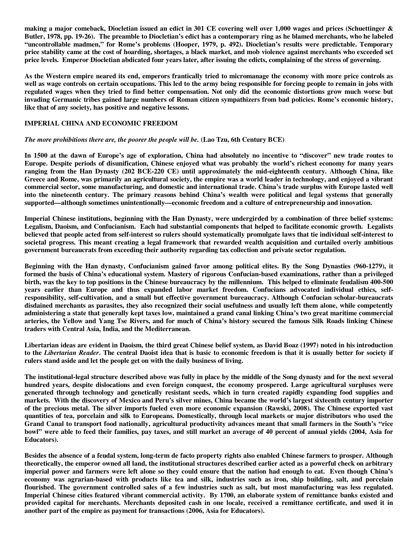**making a major comeback, Diocletian issued an edict in 301 CE covering well over 1,000 wages and prices (Schuettinger & Butler, 1978, pp. 19-26). The preamble to Diocletian's edict has a contemporary ring as he blamed merchants, who he labeled "uncontrollable madmen," for Rome's problems (Hooper, 1979, p. 492). Diocletian's results were predictable. Temporary price stability came at the cost of hoarding, shortages, a black market, and mob violence against merchants who exceeded set price levels. Emperor Diocletian abdicated four years later, after issuing the edicts, complaining of the stress of governing.** 

**As the Western empire neared its end, emperors frantically tried to micromanage the economy with more price controls as well as wage controls on certain occupations. This led to the army being responsible for forcing people to remain in jobs with regulated wages when they tried to find better compensation. Not only did the economic distortions grow much worse but invading Germanic tribes gained large numbers of Roman citizen sympathizers from bad policies. Rome's economic history, like that of any society, has positive and negative lessons.** 

# **IMPERIAL CHINA AND ECONOMIC FREEDOM**

#### *The more prohibitions there are, the poorer the people will be.* **(Lao Tzu, 6th Century BCE)**

**In 1500 at the dawn of Europe's age of exploration, China had absolutely no incentive to "discover" new trade routes to Europe. Despite periods of disunification, Chinese enjoyed what was probably the world's richest economy for many years ranging from the Han Dynasty (202 BCE-220 CE) until approximately the mid-eighteenth century. Although China, like Greece and Rome, was primarily an agricultural society, the empire was a world leader in technology, and enjoyed a vibrant commercial sector, some manufacturing, and domestic and international trade. China's trade surplus with Europe lasted well into the nineteenth century. The primary reasons behind China's wealth were political and legal systems that generally supported—although sometimes unintentionally—economic freedom and a culture of entrepreneurship and innovation.** 

**Imperial Chinese institutions, beginning with the Han Dynasty, were undergirded by a combination of three belief systems: Legalism, Daoism, and Confucianism. Each had substantial components that helped to facilitate economic growth. Legalists believed that people acted from self-interest so rulers should systematically promulgate laws that tie individual self-interest to societal progress. This meant creating a legal framework that rewarded wealth acquisition and curtailed overly ambitious government bureaucrats from exceeding their authority regarding tax collection and private sector regulation.** 

**Beginning with the Han dynasty, Confucianism gained favor among political elites. By the Song Dynasties (960-1279), it formed the basis of China's educational system. Mastery of rigorous Confucian-based examinations, rather than a privileged birth, was the key to top positions in the Chinese bureaucracy by the millennium. This helped to eliminate feudalism 400-500 years earlier than Europe and thus expanded labor market freedom. Confucians advocated individual ethics, selfresponsibility, self-cultivation, and a small but effective government bureaucracy. Although Confucian scholar-bureaucrats disdained merchants as parasites, they also recognized their social usefulness and usually left them alone, while competently administering a state that generally kept taxes low, maintained a grand canal linking China's two great maritime commercial arteries, the Yellow and Yang Tse Rivers, and for much of China's history secured the famous Silk Roads linking Chinese traders with Central Asia, India, and the Mediterranean.** 

**Libertarian ideas are evident in Daoism, the third great Chinese belief system, as David Boaz (1997) noted in his introduction to the** *Libertarian Reader***. The central Daoist idea that is basic to economic freedom is that it is usually better for society if rulers stand aside and let the people get on with the daily business of living.** 

**The institutional-legal structure described above was fully in place by the middle of the Song dynasty and for the next several hundred years, despite dislocations and even foreign conquest, the economy prospered. Large agricultural surpluses were generated through technology and genetically resistant seeds, which in turn created rapidly expanding food supplies and markets. With the discovery of Mexico and Peru's silver mines, China became the world's largest sixteenth century importer of the precious metal. The silver imports fueled even more economic expansion (Rawski, 2008). The Chinese exported vast quantities of tea, porcelain and silk to Europeans. Domestically, through local markets or major distributors who used the Grand Canal to transport food nationally, agricultural productivity advances meant that small farmers in the South's "rice bowl" were able to feed their families, pay taxes, and still market an average of 40 percent of annual yields (2004, Asia for Educators).** 

**Besides the absence of a feudal system, long-term de facto property rights also enabled Chinese farmers to prosper. Although theoretically, the emperor owned all land, the institutional structures described earlier acted as a powerful check on arbitrary imperial power and farmers were left alone so they could ensure that the nation had enough to eat. Even though China's economy was agrarian-based with products like tea and silk, industries such as iron, ship building, salt, and porcelain flourished. The government controlled sales of a few industries such as salt, but most manufacturing was less regulated. Imperial Chinese cities featured vibrant commercial activity. By 1700, an elaborate system of remittance banks existed and provided capital for merchants. Merchants deposited cash in one locale, received a remittance certificate, and used it in another part of the empire as payment for transactions (2006, Asia for Educators).**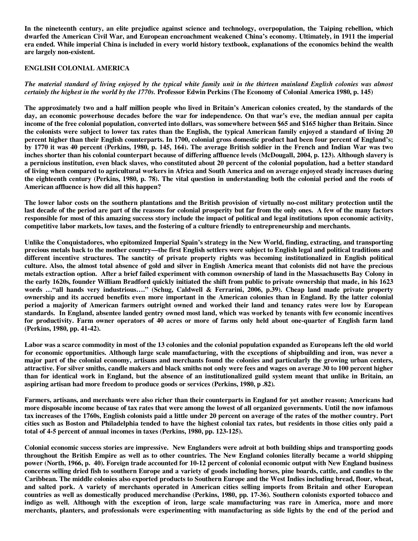**In the nineteenth century, an elite prejudice against science and technology, overpopulation, the Taiping rebellion, which dwarfed the American Civil War, and European encroachment weakened China's economy. Ultimately, in 1911 the imperial era ended. While imperial China is included in every world history textbook, explanations of the economics behind the wealth are largely non-existent.** 

#### **ENGLISH COLONIAL AMERICA**

*The material standard of living enjoyed by the typical white family unit in the thirteen mainland English colonies was almost certainly the highest in the world by the 1770s.* **Professor Edwin Perkins (The Economy of Colonial America 1980, p. 145)** 

**The approximately two and a half million people who lived in Britain's American colonies created, by the standards of the day, an economic powerhouse decades before the war for independence. On that war's eve, the median annual per capita income of the free colonial population, converted into dollars, was somewhere between \$65 and \$165 higher than Britain. Since the colonists were subject to lower tax rates than the English, the typical American family enjoyed a standard of living 20 percent higher than their English counterparts. In 1700, colonial gross domestic product had been four percent of England's; by 1770 it was 40 percent (Perkins, 1980, p. 145, 164). The average British soldier in the French and Indian War was two inches shorter than his colonial counterpart because of differing affluence levels (McDougall, 2004, p. 123). Although slavery is a pernicious institution, even black slaves, who constituted about 20 percent of the colonial population, had a better standard of living when compared to agricultural workers in Africa and South America and on average enjoyed steady increases during the eighteenth century (Perkins, 1980, p. 78). The vital question in understanding both the colonial period and the roots of American affluence is how did all this happen?** 

**The lower labor costs on the southern plantations and the British provision of virtually no-cost military protection until the last decade of the period are part of the reasons for colonial prosperity but far from the only ones. A few of the many factors responsible for most of this amazing success story include the impact of political and legal institutions upon economic activity, competitive labor markets, low taxes, and the fostering of a culture friendly to entrepreneurship and merchants.** 

**Unlike the Conquistadores, who epitomized Imperial Spain's strategy in the New World, finding, extracting, and transporting precious metals back to the mother country—the first English settlers were subject to English legal and political traditions and different incentive structures. The sanctity of private property rights was becoming institutionalized in English political culture. Also, the almost total absence of gold and silver in English America meant that colonists did not have the precious metals extraction option. After a brief failed experiment with common ownership of land in the Massachusetts Bay Colony in the early 1620s, founder William Bradford quickly initiated the shift from public to private ownership that made, in his 1623 words …"all hands very industrious…." (Schug, Caldwell & Ferrarini, 2006, p.39). Cheap land made private property ownership and its accrued benefits even more important in the American colonies than in England. By the latter colonial period a majority of American farmers outright owned and worked their land and tenancy rates were low by European standards. In England, absentee landed gentry owned most land, which was worked by tenants with few economic incentives for productivity. Farm owner operators of 40 acres or more of farms only held about one-quarter of English farm land (Perkins, 1980, pp. 41-42).** 

**Labor was a scarce commodity in most of the 13 colonies and the colonial population expanded as Europeans left the old world for economic opportunities. Although large scale manufacturing, with the exceptions of shipbuilding and iron, was never a major part of the colonial economy, artisans and merchants found the colonies and particularly the growing urban centers, attractive. For silver smiths, candle makers and black smiths not only were fees and wages on average 30 to 100 percent higher than for identical work in England, but the absence of an institutionalized guild system meant that unlike in Britain, an aspiring artisan had more freedom to produce goods or services (Perkins, 1980, p .82).** 

**Farmers, artisans, and merchants were also richer than their counterparts in England for yet another reason; Americans had more disposable income because of tax rates that were among the lowest of all organized governments. Until the now infamous tax increases of the 1760s, English colonists paid a little under 20 percent on average of the rates of the mother country. Port cities such as Boston and Philadelphia tended to have the highest colonial tax rates, but residents in those cities only paid a total of 4-5 percent of annual incomes in taxes (Perkins, 1980, pp. 123-125).** 

**Colonial economic success stories are impressive. New Englanders were adroit at both building ships and transporting goods throughout the British Empire as well as to other countries. The New England colonies literally became a world shipping power (North, 1966, p. 40). Foreign trade accounted for 10-12 percent of colonial economic output with New England business concerns selling dried fish to southern Europe and a variety of goods including horses, pine boards, cattle, and candles to the Caribbean. The middle colonies also exported products to Southern Europe and the West Indies including bread, flour, wheat, and salted pork. A variety of merchants operated in American cities selling imports from Britain and other European countries as well as domestically produced merchandise (Perkins, 1980, pp. 17-36). Southern colonists exported tobacco and indigo as well. Although with the exception of iron, large scale manufacturing was rare in America, more and more merchants, planters, and professionals were experimenting with manufacturing as side lights by the end of the period and**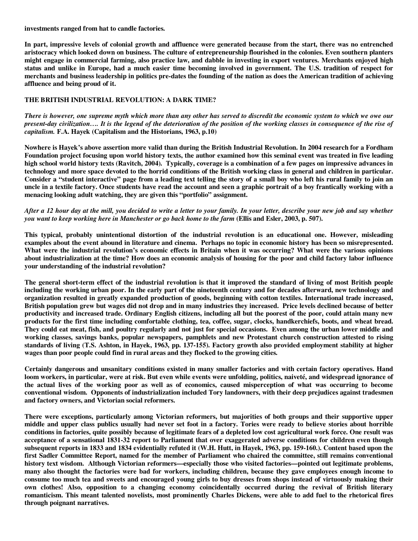**investments ranged from hat to candle factories.** 

**In part, impressive levels of colonial growth and affluence were generated because from the start, there was no entrenched aristocracy which looked down on business. The culture of entrepreneurship flourished in the colonies. Even southern planters might engage in commercial farming, also practice law, and dabble in investing in export ventures. Merchants enjoyed high status and unlike in Europe, had a much easier time becoming involved in government. The U.S. tradition of respect for merchants and business leadership in politics pre-dates the founding of the nation as does the American tradition of achieving affluence and being proud of it.** 

# **THE BRITISH INDUSTRIAL REVOLUTION: A DARK TIME?**

*There is however, one supreme myth which more than any other has served to discredit the economic system to which we owe our present-day civilization…. It is the legend of the deterioration of the position of the working classes in consequence of the rise of capitalism.* **F.A. Hayek (Capitalism and the Historians, 1963, p.10)** 

**Nowhere is Hayek's above assertion more valid than during the British Industrial Revolution. In 2004 research for a Fordham Foundation project focusing upon world history texts, the author examined how this seminal event was treated in five leading high school world history texts (Ravitch, 2004). Typically, coverage is a combination of a few pages on impressive advances in technology and more space devoted to the horrid conditions of the British working class in general and children in particular. Consider a "student interactive" page from a leading text telling the story of a small boy who left his rural family to join an uncle in a textile factory. Once students have read the account and seen a graphic portrait of a boy frantically working with a menacing looking adult watching, they are given this "portfolio" assignment.** 

# *After a 12 hour day at the mill, you decided to write a letter to your family. In your letter, describe your new job and say whether you want to keep working here in Manchester or go back home to the farm* **(Ellis and Esler, 2003, p. 507).**

**This typical, probably unintentional distortion of the industrial revolution is an educational one. However, misleading examples about the event abound in literature and cinema. Perhaps no topic in economic history has been so misrepresented. What were the industrial revolution's economic effects in Britain when it was occurring? What were the various opinions about industrialization at the time? How does an economic analysis of housing for the poor and child factory labor influence your understanding of the industrial revolution?** 

**The general short-term effect of the industrial revolution is that it improved the standard of living of most British people including the working urban poor. In the early part of the nineteenth century and for decades afterward, new technology and organization resulted in greatly expanded production of goods, beginning with cotton textiles. International trade increased, British population grew but wages did not drop and in many industries they increased. Price levels declined because of better productivity and increased trade. Ordinary English citizens, including all but the poorest of the poor, could attain many new products for the first time including comfortable clothing, tea, coffee, sugar, clocks, handkerchiefs, boots, and wheat bread. They could eat meat, fish, and poultry regularly and not just for special occasions. Even among the urban lower middle and working classes, savings banks, popular newspapers, pamphlets and new Protestant church construction attested to rising standards of living (T.S. Ashton, in Hayek, 1963, pp. 137-155). Factory growth also provided employment stability at higher wages than poor people could find in rural areas and they flocked to the growing cities.** 

**Certainly dangerous and unsanitary conditions existed in many smaller factories and with certain factory operatives. Hand loom workers, in particular, were at risk. But even while events were unfolding, politics, naiveté, and widespread ignorance of the actual lives of the working poor as well as of economics, caused misperception of what was occurring to become conventional wisdom. Opponents of industrialization included Tory landowners, with their deep prejudices against tradesmen and factory owners, and Victorian social reformers.** 

**There were exceptions, particularly among Victorian reformers, but majorities of both groups and their supportive upper middle and upper class publics usually had never set foot in a factory. Tories were ready to believe stories about horrible conditions in factories, quite possibly because of legitimate fears of a depleted low cost agricultural work force. One result was acceptance of a sensational 1831-32 report to Parliament that over exaggerated adverse conditions for children even though subsequent reports in 1833 and 1834 evidentially refuted it (W.H. Hutt, in Hayek, 1963, pp. 159-160.). Content based upon the first Sadler Committee Report, named for the member of Parliament who chaired the committee, still remains conventional history text wisdom. Although Victorian reformers—especially those who visited factories—pointed out legitimate problems, many also thought the factories were bad for workers, including children, because they gave employees enough income to consume too much tea and sweets and encouraged young girls to buy dresses from shops instead of virtuously making their own clothes! Also, opposition to a changing economy coincidentally occurred during the revival of British literary romanticism. This meant talented novelists, most prominently Charles Dickens, were able to add fuel to the rhetorical fires through poignant narratives.**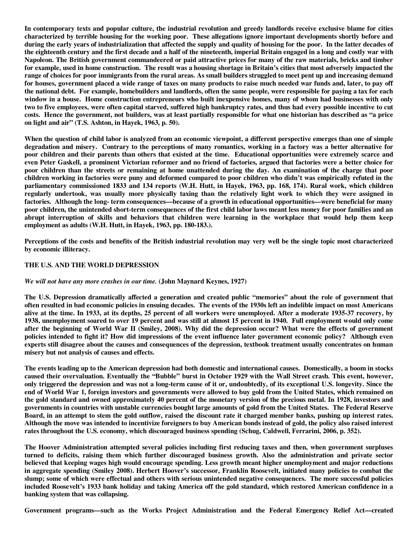**In contemporary texts and popular culture, the industrial revolution and greedy landlords receive exclusive blame for cities characterized by terrible housing for the working poor. These allegations ignore important developments shortly before and during the early years of industrialization that affected the supply and quality of housing for the poor. In the latter decades of the eighteenth century and the first decade and a half of the nineteenth, imperial Britain engaged in a long and costly war with Napoleon. The British government commandeered or paid attractive prices for many of the raw materials, bricks and timber for example, used in home construction. The result was a housing shortage in Britain's cities that most adversely impacted the range of choices for poor immigrants from the rural areas. As small builders struggled to meet pent up and increasing demand for houses, government placed a wide range of taxes on many products to raise much needed war funds and, later, to pay off the national debt. For example, homebuilders and landlords, often the same people, were responsible for paying a tax for each window in a house. Home construction entrepreneurs who built inexpensive homes, many of whom had businesses with only two to five employees, were often capital starved, suffered high bankruptcy rates, and thus had every possible incentive to cut costs. Hence the government, not builders, was at least partially responsible for what one historian has described as "a price on light and air" (T.S. Ashton, in Hayek, 1963, p. 50).** 

**When the question of child labor is analyzed from an economic viewpoint, a different perspective emerges than one of simple degradation and misery. Contrary to the perceptions of many romantics, working in a factory was a better alternative for poor children and their parents than others that existed at the time. Educational opportunities were extremely scarce and even Peter Gaskell, a prominent Victorian reformer and no friend of factories, argued that factories were a better choice for poor children than the streets or remaining at home unattended during the day. An examination of the charge that poor children working in factories were puny and deformed compared to poor children who didn't was empirically refuted in the parliamentary commissioned 1833 and 134 reports (W.H. Hutt, in Hayek, 1963, pp. 168, 174). Rural work, which children regularly undertook, was usually more physically taxing than the relatively light work to which they were assigned in factories. Although the long- term consequences—because of a growth in educational opportunities—were beneficial for many poor children, the unintended short-term consequences of the first child labor laws meant less money for poor families and an abrupt interruption of skills and behaviors that children were learning in the workplace that would help them keep employment as adults (W.H. Hutt, in Hayek, 1963, pp. 180-183.).** 

**Perceptions of the costs and benefits of the British industrial revolution may very well be the single topic most characterized by economic illiteracy.** 

## **THE U.S. AND THE WORLD DEPRESSION**

#### *We will not have any more crashes in our time.* **(John Maynard Keynes, 1927)**

**The U.S. Depression dramatically affected a generation and created public "memories" about the role of government that often resulted in bad economic policies in ensuing decades. The events of the 1930s left an indelible impact on most Americans alive at the time. In 1933, at its depths, 25 percent of all workers were unemployed. After a moderate 1935-37 recovery, by 1938, unemployment soared to over 19 percent and was still at almost 15 percent in 1940. Full employment would only come after the beginning of World War II (Smiley, 2008). Why did the depression occur? What were the effects of government policies intended to fight it? How did impressions of the event influence later government economic policy? Although even experts still disagree about the causes and consequences of the depression, textbook treatment usually concentrates on human misery but not analysis of causes and effects.** 

**The events leading up to the American depression had both domestic and international causes. Domestically, a boom in stocks caused their overvaluation. Eventually the "Bubble" burst in October 1929 with the Wall Street crash. This event, however, only triggered the depression and was not a long-term cause of it or, undoubtedly, of its exceptional U.S. longevity. Since the end of World War 1, foreign investors and governments were allowed to buy gold from the United States, which remained on the gold standard and owned approximately 40 percent of the monetary version of the precious metal. In 1928, investors and governments in countries with unstable currencies bought large amounts of gold from the United States. The Federal Reserve Board, in an attempt to stem the gold outflow, raised the discount rate it charged member banks, pushing up interest rates. Although the move was intended to incentivize foreigners to buy American bonds instead of gold, the policy also raised interest rates throughout the U.S. economy, which discouraged business spending (Schug, Caldwell, Ferrarini, 2006, p. 352).** 

**The Hoover Administration attempted several policies including first reducing taxes and then, when government surpluses turned to deficits, raising them which further discouraged business growth. Also the administration and private sector believed that keeping wages high would encourage spending. Less growth meant higher unemployment and major reductions in aggregate spending (Smiley 2008). Herbert Hoover's successor, Franklin Roosevelt, initiated many policies to combat the slump; some of which were effectual and others with serious unintended negative consequences. The more successful policies included Roosevelt's 1933 bank holiday and taking America off the gold standard, which restored American confidence in a banking system that was collapsing.** 

**Government programs—such as the Works Project Administration and the Federal Emergency Relief Act—created**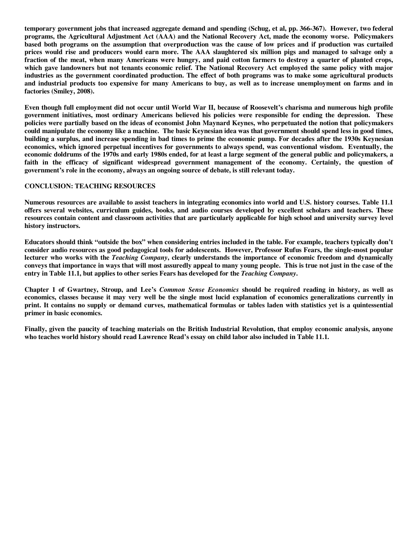**temporary government jobs that increased aggregate demand and spending (Schug, et al, pp. 366-367). However, two federal programs, the Agricultural Adjustment Act (AAA) and the National Recovery Act, made the economy worse. Policymakers based both programs on the assumption that overproduction was the cause of low prices and if production was curtailed prices would rise and producers would earn more. The AAA slaughtered six million pigs and managed to salvage only a fraction of the meat, when many Americans were hungry, and paid cotton farmers to destroy a quarter of planted crops, which gave landowners but not tenants economic relief. The National Recovery Act employed the same policy with major industries as the government coordinated production. The effect of both programs was to make some agricultural products and industrial products too expensive for many Americans to buy, as well as to increase unemployment on farms and in factories (Smiley, 2008).** 

**Even though full employment did not occur until World War II, because of Roosevelt's charisma and numerous high profile government initiatives, most ordinary Americans believed his policies were responsible for ending the depression. These policies were partially based on the ideas of economist John Maynard Keynes, who perpetuated the notion that policymakers could manipulate the economy like a machine. The basic Keynesian idea was that government should spend less in good times, building a surplus, and increase spending in bad times to prime the economic pump. For decades after the 1930s Keynesian economics, which ignored perpetual incentives for governments to always spend, was conventional wisdom. Eventually, the economic doldrums of the 1970s and early 1980s ended, for at least a large segment of the general public and policymakers, a**  faith in the efficacy of significant widespread government management of the economy. Certainly, the question of **government's role in the economy, always an ongoing source of debate, is still relevant today.** 

## **CONCLUSION: TEACHING RESOURCES**

**Numerous resources are available to assist teachers in integrating economics into world and U.S. history courses. Table 11.1 offers several websites, curriculum guides, books, and audio courses developed by excellent scholars and teachers. These resources contain content and classroom activities that are particularly applicable for high school and university survey level history instructors.** 

**Educators should think "outside the box" when considering entries included in the table. For example, teachers typically don't consider audio resources as good pedagogical tools for adolescents. However, Professor Rufus Fears, the single-most popular lecturer who works with the** *Teaching Company***, clearly understands the importance of economic freedom and dynamically conveys that importance in ways that will most assuredly appeal to many young people. This is true not just in the case of the entry in Table 11.1, but applies to other series Fears has developed for the** *Teaching Company***.** 

**Chapter 1 of Gwartney, Stroup, and Lee's** *Common Sense Economics* **should be required reading in history, as well as economics, classes because it may very well be the single most lucid explanation of economics generalizations currently in print. It contains no supply or demand curves, mathematical formulas or tables laden with statistics yet is a quintessential primer in basic economics.** 

**Finally, given the paucity of teaching materials on the British Industrial Revolution, that employ economic analysis, anyone who teaches world history should read Lawrence Read's essay on child labor also included in Table 11.1.**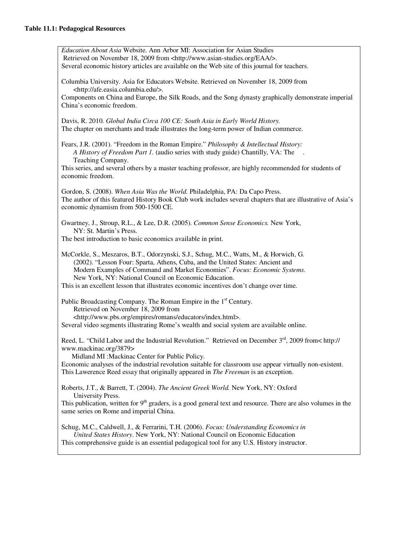*Education About Asia* Website. Ann Arbor MI: Association for Asian Studies Retrieved on November 18, 2009 from <http://www.asian-studies.org/EAA/>. Several economic history articles are available on the Web site of this journal for teachers. Columbia University. Asia for Educators Website. Retrieved on November 18, 2009 from <http://afe.easia.columbia.edu/>. Components on China and Europe, the Silk Roads, and the Song dynasty graphically demonstrate imperial China's economic freedom. Davis, R. 2010. *Global India Circa 100 CE: South Asia in Early World History.*  The chapter on merchants and trade illustrates the long-term power of Indian commerce. Fears, J.R. (2001). "Freedom in the Roman Empire." *Philosophy & Intellectual History: A History of Freedom Part 1.* (audio series with study guide) Chantilly, VA: The . Teaching Company. This series, and several others by a master teaching professor, are highly recommended for students of economic freedom. Gordon, S. (2008). *When Asia Was the World.* Philadelphia, PA: Da Capo Press. The author of this featured History Book Club work includes several chapters that are illustrative of Asia's economic dynamism from 500-1500 CE. Gwartney, J., Stroup, R.L., & Lee, D.R. (2005). *Common Sense Economics.* New York, NY: St. Martin's Press. The best introduction to basic economics available in print. McCorkle, S., Meszaros, B.T., Odorzynski, S.J., Schug, M.C., Watts, M., & Horwich, G. (2002). "Lesson Four: Sparta, Athens, Cuba, and the United States: Ancient and Modern Examples of Command and Market Economies". *Focus: Economic Systems*. New York, NY: National Council on Economic Education. This is an excellent lesson that illustrates economic incentives don't change over time. Public Broadcasting Company. The Roman Empire in the  $1<sup>st</sup>$  Century. Retrieved on November 18, 2009 from <http://www.pbs.org/empires/romans/educators/index.html>. Several video segments illustrating Rome's wealth and social system are available online. Reed, L. "Child Labor and the Industrial Revolution." Retrieved on December 3<sup>rd</sup>, 2009 from< http:// www.mackinac.org/3879> Midland MI :Mackinac Center for Public Policy. Economic analyses of the industrial revolution suitable for classroom use appear virtually non-existent. This Lawerence Reed essay that originally appeared in *The Freeman* is an exception. Roberts, J.T., & Barrett, T. (2004). *The Ancient Greek World.* New York, NY: Oxford University Press. This publication, written for  $9<sup>th</sup>$  graders, is a good general text and resource. There are also volumes in the same series on Rome and imperial China. Schug, M.C., Caldwell, J., & Ferrarini, T.H. (2006). *Focus: Understanding Economics in United States History*. New York, NY: National Council on Economic Education This comprehensive guide is an essential pedagogical tool for any U.S. History instructor.